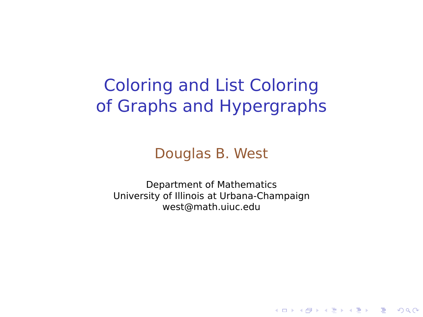## Coloring and List Coloring of Graphs and Hypergraphs

Douglas B. West

<span id="page-0-0"></span>Department of Mathematics University of Illinois at Urbana-Champaign west@math.uiuc.edu

**KORK ERKERK ER KRENK**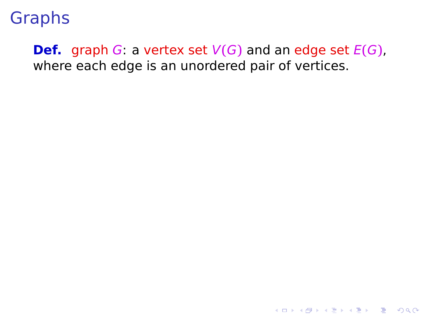#### **Def.** graph G: a vertex set  $V(G)$  and an edge set  $E(G)$ , where each edge is an unordered pair of vertices.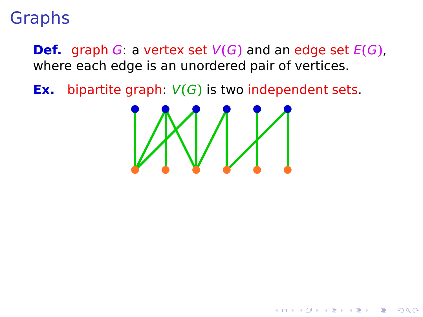**Def.** graph G: a vertex set V**(**G**)** and an edge set E**(**G**)**, where each edge is an unordered pair of vertices.

**Ex.** bipartite graph: V**(**G**)** is two independent sets.



A DIA 4 FEA 4 EN AGO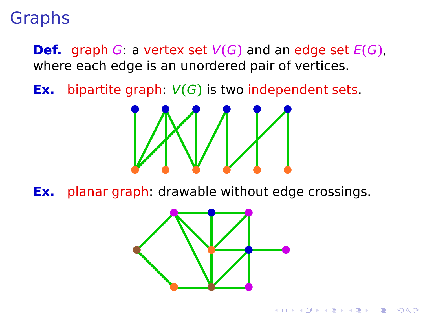**Def.** graph G: a vertex set V**(**G**)** and an edge set E**(**G**)**, where each edge is an unordered pair of vertices.

**• • • • • •**

**Ex.** bipartite graph: V**(**G**)** is two independent sets.



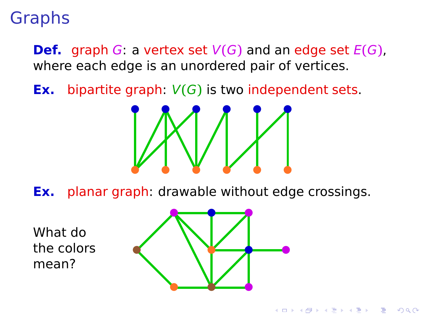**Def.** graph G: a vertex set V**(**G**)** and an edge set E**(**G**)**, where each edge is an unordered pair of vertices.

**• • • • • •**

**• • • • • •**

**Ex.** bipartite graph: V**(**G**)** is two independent sets.



<span id="page-4-0"></span>What do the colors mean?

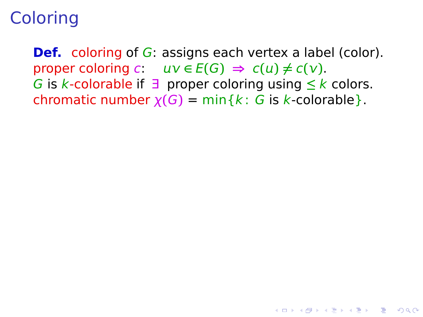**Def.** coloring of G: assigns each vertex a label (color).  $\mathsf{proper}$  coloring  $c: uv \in E(G) \Rightarrow c(u) \neq c(v)$ . G is k-colorable if ∃ proper coloring using **≤** k colors. chromatic number  $\chi(G) = \min\{k : G$  is k-colorable  $\}.$ 

**KORK ERKERK ADAM**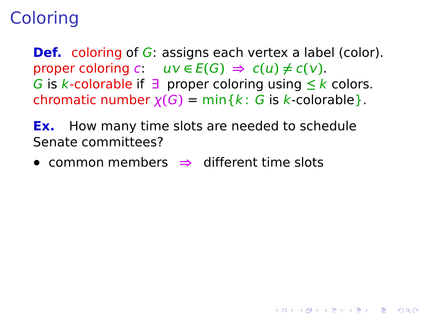**Def.** coloring of G: assigns each vertex a label (color).  $\mathsf{proper}$  coloring  $c: uv \in E(G) \Rightarrow c(u) \neq c(v)$ . G is k-colorable if ∃ proper coloring using **≤** k colors. chromatic number  $\chi(G) = \min\{k : G$  is k-colorable  $\}.$ 

**KORK ERKERK ADAM** 

**Ex.** How many time slots are needed to schedule Senate committees?

**•** common members **⇒** different time slots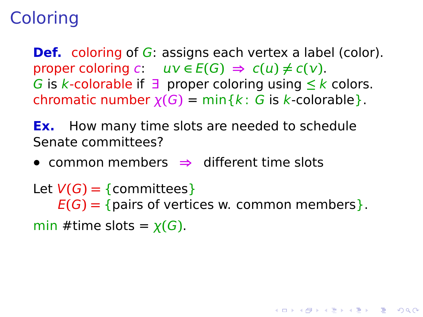**Def.** coloring of G: assigns each vertex a label (color).  $\mathsf{proper}$  coloring  $c: uv \in E(G) \Rightarrow c(u) \neq c(v)$ . G is k-colorable if ∃ proper coloring using **≤** k colors. chromatic number  $\chi(G) = \min\{k : G$  is k-colorable  $\}.$ 

**Ex.** How many time slots are needed to schedule Senate committees?

**•** common members **⇒** different time slots

Let  $V(G) = \{commities\}$  $E(G) = \{ \text{pairs of vertices } w. \text{ common members} \}.$ min #time slots =  $\chi(G)$ .

**KORKA SERKER YOUR**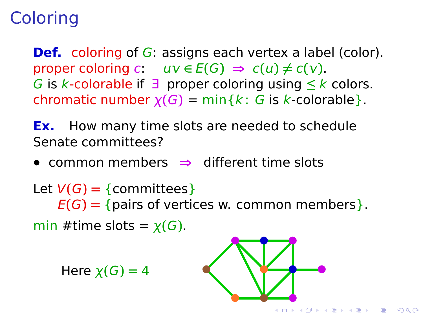**Def.** coloring of G: assigns each vertex a label (color).  $\mathsf{proper}$  coloring  $c: uv \in E(G) \Rightarrow c(u) \neq c(v)$ . G is k-colorable if ∃ proper coloring using **≤** k colors. chromatic number  $\chi(G) = \min\{k : G$  is k-colorable  $\}.$ 

**Ex.** How many time slots are needed to schedule Senate committees?

**•** common members **⇒** different time slots

Let  $V(G) = \{commities\}$  $E(G) = \{ \text{pairs of vertices } w. \text{ common members} \}.$ min #time slots =  $\chi(G)$ .

 $He$ **re**  $\chi(G) = 4$ 

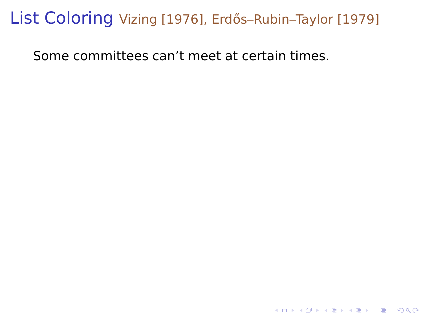#### List Coloring Vizing [1976], Erdős-Rubin-Taylor [1979]

K □ ▶ K @ ▶ K 할 ▶ K 할 ▶ 이 할 → 9 Q @

<span id="page-9-0"></span>Some committees can't meet at certain times.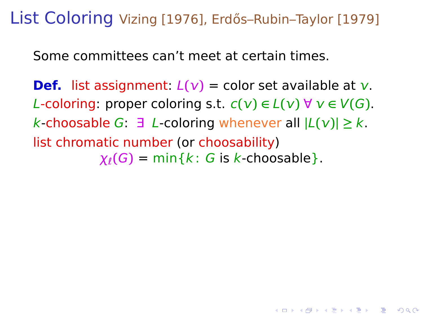List Coloring Vizing [1976], Erdős-Rubin-Taylor [1979]

Some committees can't meet at certain times.

**Def.** list assignment:  $L(v) =$  color set available at v. L-coloring: proper coloring s.t.  $c(v) \in L(v)$  ∀  $v \in V(G)$ . k-choosable G: ∃ L-coloring whenever all **|**L**()| ≥** k. list chromatic number (or choosability)  $\chi_{\ell}(G) = \min\{k : G \text{ is } k\text{-choosable}\}.$ 

**KORKA SERKER YOUR**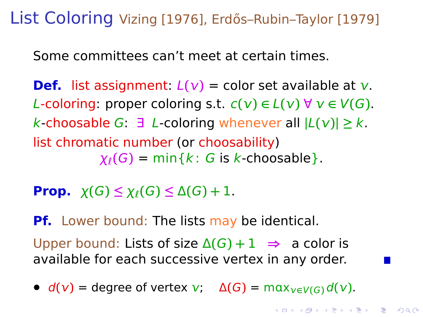List Coloring Vizing [1976], Erdős-Rubin-Taylor [1979]

Some committees can't meet at certain times.

**Def.** list assignment:  $L(v) =$  color set available at v. L-coloring: proper coloring s.t.  $c(v) \in L(v)$  ∀  $v \in V(G)$ . k-choosable G: ∃ L-coloring whenever all **|**L**()| ≥** k. list chromatic number (or choosability)  $\chi_{\ell}(G) = \min\{k : G \text{ is } k\text{-choosable}\}.$ 

**Prop.**  $\chi(G) \leq \chi_{\ell}(G) \leq \Delta(G) + 1$ .

**Pf.** Lower bound: The lists may be identical.

Upper bound: Lists of size  $\Delta(G) + 1 \implies$  a color is available for each successive vertex in any order.

<span id="page-11-0"></span>•  $d(v) =$  degree of vertex  $v: \Delta(G) = \max_{v \in V(G)} d(v)$ .

**KORKA SERKER YOUR**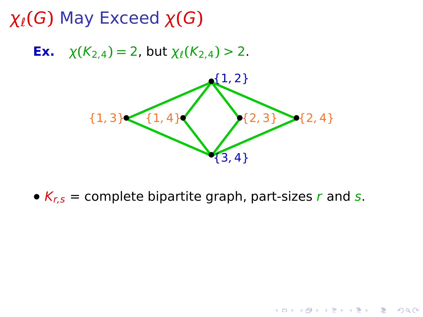**Ex.**  $\chi(K_{2,4}) = 2$ , but  $\chi_{\ell}(K_{2,4}) > 2$ .



<span id="page-12-0"></span>•  $K_{r,s}$  = complete bipartite graph, part-sizes r and s.

K ロ ▶ K @ ▶ K 콜 ▶ K 콜 ▶ 『 콜 │ ⊙ Q Q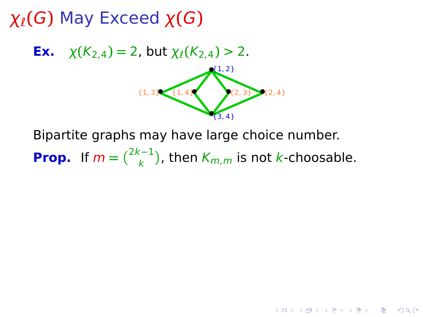**Ex.**  $\chi(K_{2,4}) = 2$ , but  $\chi_{\ell}(K_{2,4}) > 2$ .



**KORK EXTERNE MORE** 

Bipartite graphs may have large choice number. **Prop.** If  $m = \binom{2k-1}{k}$ , then  $K_{m,m}$  is not k-choosable.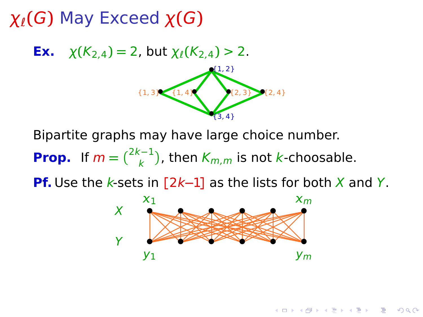



Bipartite graphs may have large choice number. **Prop.** If  $m = \binom{2k-1}{k}$ , then  $K_{m,m}$  is not k-choosable.

<span id="page-14-0"></span>**Pf.** Use the k-sets in [2k−1] as the lists for both X and Y.



**KORKA SERKER YOUR**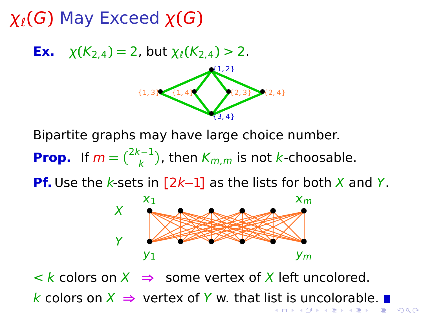**Ex.**  $\chi(K_{2,4}) = 2$ , but  $\chi_{\ell}(K_{2,4}) > 2$ .



Bipartite graphs may have large choice number. **Prop.** If  $m = \binom{2k-1}{k}$ , then  $K_{m,m}$  is not k-choosable.

**Pf.** Use the k-sets in [2k−1] as the lists for both X and Y.



<span id="page-15-0"></span> $\langle \cdot \rangle$  k colors on  $X \implies$  some vertex of X left uncolored. k colors o[n](#page-15-0)  $X$  ⇒ vertex of Y w. that li[st](#page-14-0) [is](#page-16-0) [u](#page-12-0)n[c](#page-16-0)[o](#page-24-0)[l](#page-12-0)o[r](#page-25-0)[a](#page-11-0)[b](#page-24-0)[le](#page-25-0)[.](#page-0-0) ■

> (何) (ヨ) (ヨ)  $QQ$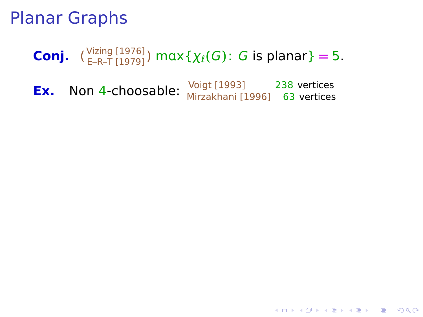# **Conj.**  $\binom{\text{Vizing } [1976]}{E-R-T [1979]}$   $\text{max}\{\chi_{\ell}(G): G \text{ is planar}\}=5.$

<span id="page-16-0"></span>**Ex.** Non 4-choosable: <sup>Voigt [1993] 238 vertices<br>Mirzakhani [1996] 63 vertices</sup>

**KORK ERKERK ADAM**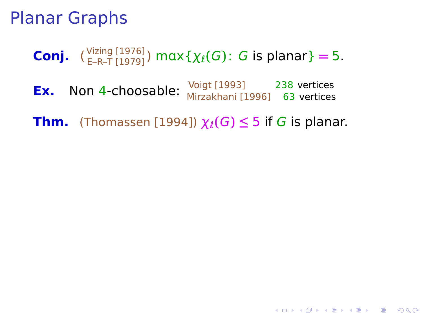## **Conj.**  $\binom{\text{Vizing } [1976]}{E-R-T [1979]}$   $\text{max}\{\chi_{\ell}(G): G \text{ is planar}\}=5.$

**Ex.** Non 4-choosable: <sup>Voigt [1993] 238 vertices<br>Mirzakhani [1996] 63 vertices</sup>

**Thm.** (Thomassen [1994])  $\chi_{\ell}(G) \leq 5$  if G is planar.

**KORK ERKERK ADAM**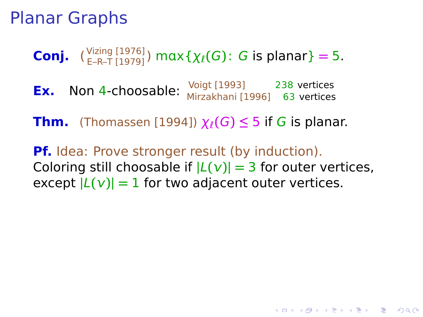**Conj.**  $\binom{\text{Vizing } [1976]}{E-R-T [1979]}$   $\text{max}\{\chi_{\ell}(G): G \text{ is planar}\}=5.$ 

**Ex.** Non 4-choosable: Voigt [1993] 238 vertices Mirzakhani [1996] 63 vertices

**Thm.** (Thomassen [1994])  $\chi_{\ell}(G) \leq 5$  if G is planar.

**Pf.** Idea: Prove stronger result (by induction). Coloring still choosable if  $|L(v)| = 3$  for outer vertices, except  $|L(v)| = 1$  for two adjacent outer vertices.

**KORKA SERKER YOUR**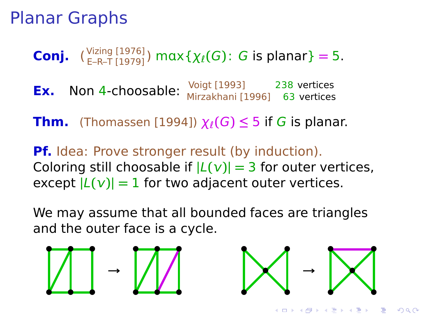**Conj.**  $\binom{\text{Vizing } [1976]}{E-R-T [1979]}$   $\text{max}\{\chi_{\ell}(G): G \text{ is planar}\}=5.$ 

**Ex.** Non 4-choosable: Voigt [1993] 238 vertices Mirzakhani [1996] 63 vertices

**Thm.** (Thomassen [1994])  $\chi_{\ell}(G) \leq 5$  if G is planar.

**Pf.** Idea: Prove stronger result (by induction). Coloring still choosable if  $|L(v)| = 3$  for outer vertices, except  $|L(v)| = 1$  for two adjacent outer vertices.

We may assume that all bounded faces are triangles and the outer face is a cycle.





 $\overline{z}$  (  $\overline{z}$  ) (  $\overline{z}$  ) (  $\overline{z}$  ) (  $\overline{z}$  )

 $QQ$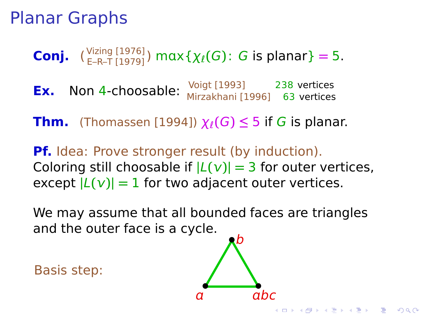**Conj.**  $\binom{\text{Vizing } [1976]}{E-R-T [1979]}$   $\text{max}\{\chi_{\ell}(G): G \text{ is planar}\}=5.$ 

**Ex.** Non 4-choosable:  $\frac{\text{Voigt} [1993]}{\text{Voart} [1993]}$  238 vertices Mirzakhani [1996] 63 vertices

**Thm.** (Thomassen [1994])  $\chi$ <sub>l</sub>(G)  $\leq$  5 if G is planar.

**Pf.** Idea: Prove stronger result (by induction). Coloring still choosable if  $|L(v)| = 3$  for outer vertices, except  $|L(v)| = 1$  for two adjacent outer vertices.

We may assume that all bounded faces are triangles and the outer face is a cycle.

Basis step:



**KORA ERREY ADAMS**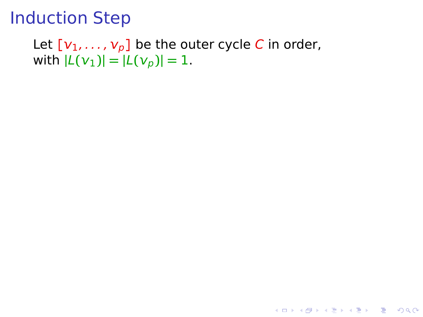Let  $[v_1, \ldots, v_p]$  be the outer cycle C in order,  $|\mathcal{L}(V_1)| = |\mathcal{L}(V_p)| = 1.$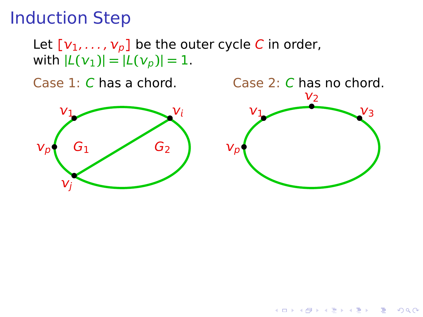Let  $[v_1, \ldots, v_p]$  be the outer cycle C in order,  $|\mathcal{L}(V_1)| = |\mathcal{L}(V_p)| = 1.$ 





K ロ ▶ K @ ▶ K 할 ▶ K 할 ▶ 이 할 → 9 Q Q\*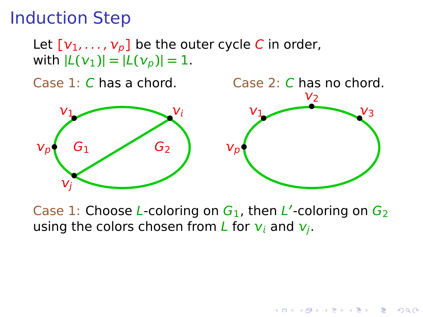Let  $[v_1, \ldots, v_p]$  be the outer cycle C in order,  $|\mathcal{L}(V_1)| = |\mathcal{L}(V_p)| = 1.$ 

Case 1: C has a chord. Case 2: C has no chord. **• • • •**  $\bar{\nu}_p$  $v_1$  $G<sub>1</sub>$  $v_i$  $\mathcal{V}_j$ G<sup>2</sup> **• • • •**  $\mathcal{V}_p$  $v_1$ V2  $v_3$ 

Case 1: Choose L-coloring on  $G_1$ , then L'-coloring on  $G_2$ using the colors chosen from L for  $v_i$  and  $v_i$ .

**KORK EXTERNE MORE**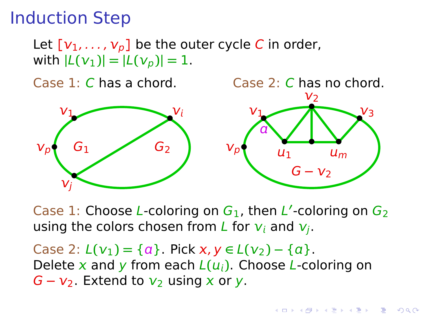Let  $[v_1, \ldots, v_p]$  be the outer cycle C in order,  $|\mathcal{L}(V_1)| = |\mathcal{L}(V_p)| = 1.$ 

Case 1: C has a chord. Case 2: C has no chord.



Case 1: Choose L-coloring on  $G_1$ , then L'-coloring on  $G_2$ using the colors chosen from L for  $v_i$  and  $v_i$ .

<span id="page-24-0"></span>Case 2:  $L(v_1) = \{a\}$ . Pick  $x, y \in L(v_2) - \{a\}$ . Delete x and y from each  $L(u_i)$ . Choose L-coloring on  $G - v_2$ . Extend to  $v_2$  using x or y.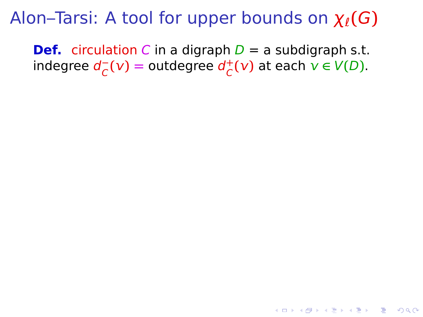<span id="page-25-0"></span>**Def.** circulation C in a digraph  $D = a$  subdigraph s.t. indegree d **−**  $\frac{1}{C}$  (**v**) = outdegree  $d_C^+$  $C^+$ (**v**) at each  $v \in V(D)$ .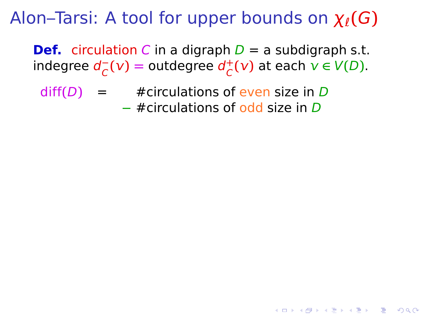**Def.** circulation C in a digraph  $D = a$  subdigraph s.t. indegree d **−**  $\frac{1}{C}$  (**v**) = outdegree  $d_C^+$  $C^+$ (**v**) at each  $v \in V(D)$ .

**KORKA SERKER YOUR** 

 $diff(D) = #circulations of even size in D$ **−** #circulations of odd size in D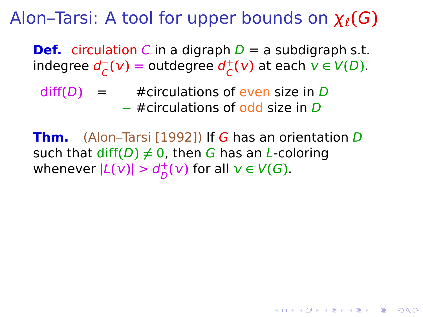**Def.** circulation C in a digraph  $D = a$  subdigraph s.t. indegree d **−**  $\frac{1}{C}$  (**v**) = outdegree  $d_C^+$  $C^+$ (**v**) at each  $v \in V(D)$ .

 $diff(D) = #circulations of even size in D$ **−** #circulations of odd size in D

**Thm.** (Alon–Tarsi [1992]) If G has an orientation D such that  $diff(D) \neq 0$ , then G has an *L*-coloring whenever  $|L(v)| > d_D^+$  $\bigcup_{D}^{+}(V)$  for all  $V \in V(G)$ .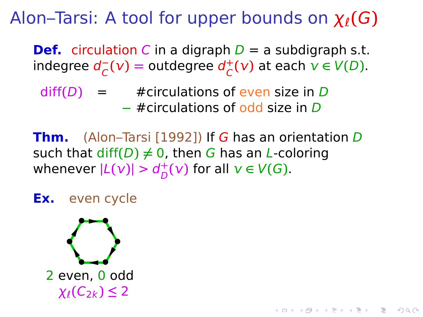**Def.** circulation C in a digraph  $D = a$  subdigraph s.t. indegree d **−**  $\frac{1}{C}$  (**v**) = outdegree  $d_C^+$  $C^+$ (**v**) at each  $v \in V(D)$ .

 $diff(D) = #circulations of even size in D$ **−** #circulations of odd size in D

**Thm.** (Alon–Tarsi [1992]) If G has an orientation D such that  $diff(D) \neq 0$ , then G has an *L*-coloring whenever  $|L(v)| > d_D^+$  $\bigcup_{D}^{+}(V)$  for all  $V \in V(G)$ .

KID KA KERKER E DAG

**Ex.** even cycle

$$
\sum_{\substack{2 \text{ even, 0 odd} \\ \chi_{\ell}(C_{2k}) \leq 2}}
$$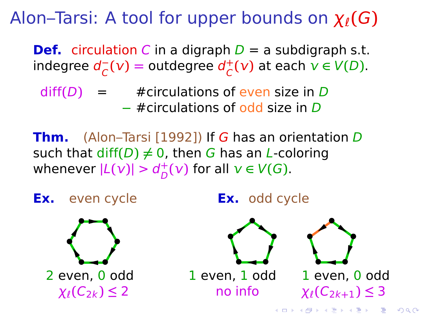**Def.** circulation C in a digraph  $D = a$  subdigraph s.t. indegree d **−**  $\frac{1}{C}$  (**v**) = outdegree  $d_C^+$  $C^+$ (**v**) at each  $v \in V(D)$ .

 $diff(D) = #circulations of even size in D$ **−** #circulations of odd size in D

**Thm.** (Alon–Tarsi [1992]) If G has an orientation D such that  $diff(D) \neq 0$ , then G has an *L*-coloring whenever  $|L(v)| > d_D^+$  $\bigcup_{D}^{+}(V)$  for all  $V \in V(G)$ .

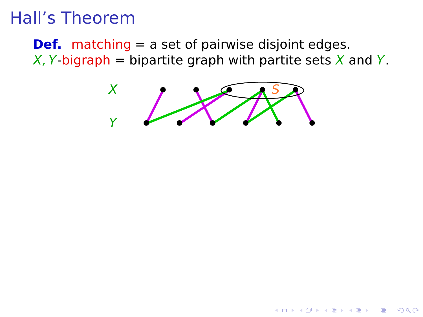**Def.** matching = a set of pairwise disjoint edges. X, Y-bigraph = bipartite graph with partite sets X and Y.



A DIA 4 FEA 4 EN AGO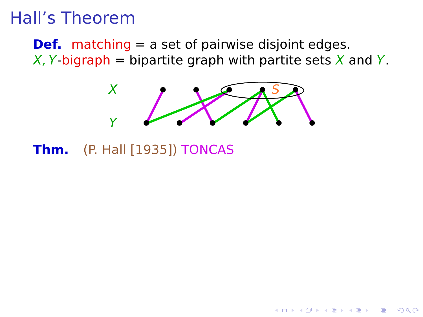**Def.** matching = a set of pairwise disjoint edges. X, Y-bigraph = bipartite graph with partite sets X and Y.



**Thm.** (P. Hall [1935]) TONCAS

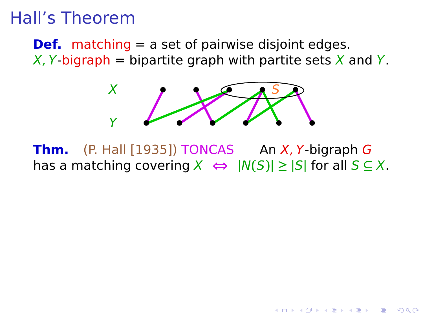**Def.** matching = a set of pairwise disjoint edges. X, Y-bigraph = bipartite graph with partite sets X and Y.



**Thm.** (P. Hall [1935]) TONCAS An X, Y-bigraph G has a matching covering  $X$   $\Leftrightarrow$   $|N(S)| \ge |S|$  for all  $S \subseteq X$ .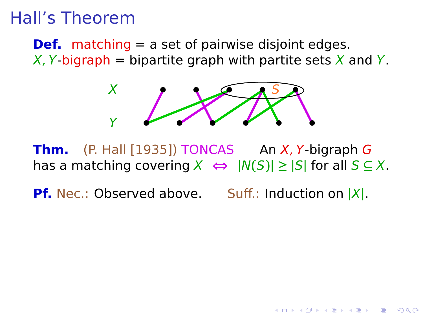**Def.** matching = a set of pairwise disjoint edges. X, Y-bigraph = bipartite graph with partite sets X and Y.



**Thm.**  $(P. Hall [1935]) TONCAS$  An  $X, Y$ -bigraph G has a matching covering  $X$   $\Leftrightarrow$   $|N(S)| \ge |S|$  for all  $S \subseteq X$ .

**Pf.** Nec.: Observed above. Suff.: Induction on **|**X**|**.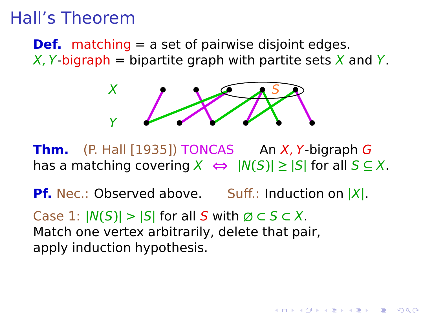**Def.** matching = a set of pairwise disjoint edges. X, Y-bigraph = bipartite graph with partite sets X and Y.



**Thm.**  $(P. Hall [1935]) TONCAS$  An  $X, Y$ -bigraph G has a matching covering  $X$   $\Leftrightarrow$   $|N(S)| \ge |S|$  for all  $S \subseteq X$ .

**Pf.** Nec.: Observed above. Suff.: Induction on **|**X**|**.

Case 1:  $|N(S)| > |S|$  for all S with  $\emptyset \subset S \subset X$ . Match one vertex arbitrarily, delete that pair, apply induction hypothesis.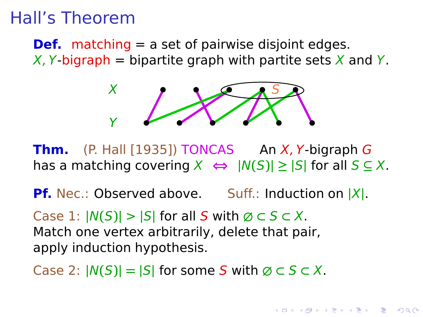**Def.** matching = a set of pairwise disjoint edges. X, Y-bigraph = bipartite graph with partite sets X and Y.



**Thm.**  $(P. Hall [1935]) TONCAS$  An  $X, Y$ -bigraph G has a matching covering  $X$   $\Leftrightarrow$   $|N(S)| \ge |S|$  for all  $S \subseteq X$ .

**Pf.** Nec.: Observed above. Suff.: Induction on **|**X**|**.

Case 1:  $|N(S)| > |S|$  for all S with  $\emptyset \subset S \subset X$ . Match one vertex arbitrarily, delete that pair, apply induction hypothesis.

Case 2:  $|N(S)| = |S|$  for some S with  $\emptyset \subset S \subset X$ .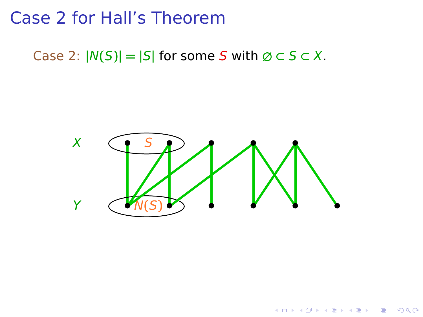Case 2:  $|N(S)| = |S|$  for some S with  $\emptyset \subset S \subset X$ .



 $QQ$ 

重し

イロト イ押 トイヨ トイヨ トー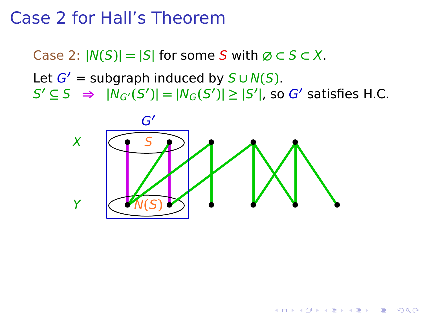Case 2:  $|N(S)| = |S|$  for some S with  $\emptyset \subset S \subset X$ .

Let  $G'$  = subgraph induced by  $S \cup N(S)$ .  $S' \subseteq S \implies |N_{G'}(S')| = |N_G(S')| \ge |S'|$ , so G' satisfies H.C.



**K ロ ト K 何 ト K ヨ ト K ヨ ト** 

 $2990$ 

 $\Rightarrow$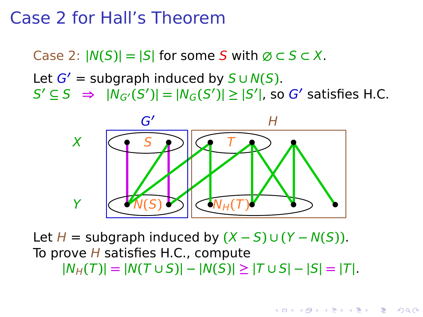Case 2:  $|N(S)| = |S|$  for some S with  $\emptyset \subset S \subset X$ .

Let  $G'$  = subgraph induced by  $S \cup N(S)$ .  $S' \subseteq S \implies |N_{G'}(S')| = |N_G(S')| \ge |S'|$ , so G' satisfies H.C.



Let  $H =$  subgraph induced by  $(X − S) ∪ (Y − N(S))$ . To prove  $H$  satisfies H.C., compute  $|N_H(T)| = |N(T \cup S)| - |N(S)| \ge |T \cup S| - |S| = |T|.$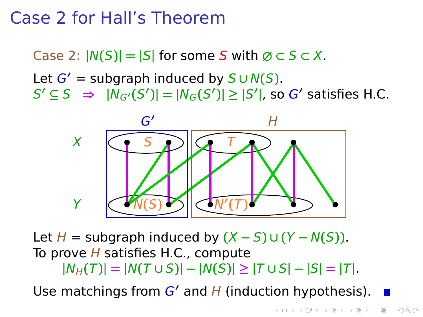Case 2:  $|N(S)| = |S|$  for some S with  $\emptyset \subset S \subset X$ .

Let  $G'$  = subgraph induced by  $S \cup N(S)$ .  $S' \subseteq S \implies |N_{G'}(S')| = |N_G(S')| \ge |S'|$ , so G' satisfies H.C.



Let  $H =$  subgraph induced by  $(X − S) ∪ (Y − N(S))$ . To prove  $H$  satisfies H.C., compute  $|N_H(T)| = |N(T \cup S)| - |N(S)| \ge |T \cup S| - |S| = |T|.$ 

Use matchings from  $G'$  and  $H$  (induction hypothesis).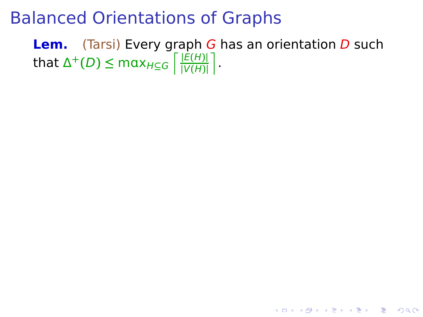**Lem.** (Tarsi) Every graph G has an orientation D such  $\frac{E(H)}{E(H)}$  **k** max $H \subseteq G$   $\frac{E(H)}{E(H)}$ **|**V**(**H**)|** m .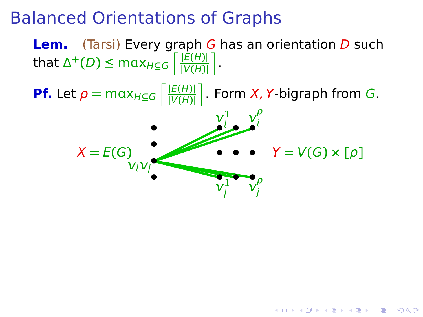**Lem.** (Tarsi) Every graph G has an orientation D such  $\frac{E(H)}{E(H)}$  **k** max $H \subseteq G$   $\frac{E(H)}{E(H)}$ **|**V**(**H**)|** m .

**Pf.** Let  $\rho = \max_{H \subseteq G} \left| \frac{|E(H)|}{|V(H)|} \right|$ **|**V**(**H**)|** m . Form X, Y-bigraph from G.  ${\bm \nu}_i^1$  $\frac{1}{i}$   $\frac{v_i^{\rho}}{i}$  **• • •• •**

$$
X = E(G)
$$
  
\n
$$
V_i V_j
$$
  
\n
$$
V_j
$$
  
\n
$$
V = V(G) \times [\rho]
$$

**K ロ ▶ K @ ▶ K 할 X K 할 X - 할 X - 9 Q Q ^**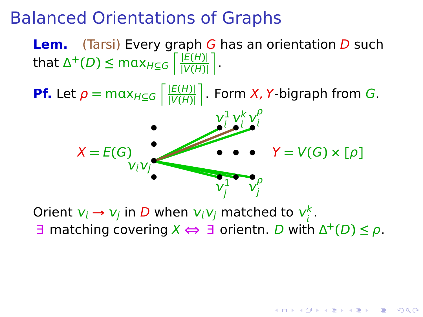**Lem.** (Tarsi) Every graph G has an orientation D such  $\frac{E(H)}{E(H)}$  **k** max $H \subseteq G$   $\frac{E(H)}{E(H)}$ **|**V**(**H**)|** m . **Pf.** Let  $\rho = \max_{H \subseteq G} \left| \frac{|E(H)|}{|V(H)|} \right|$ **|**V**(**H**)|** m . Form X, Y-bigraph from G. ′<br>ν<sub>ί</sub>ν<sub>j</sub>●  $X = E(G)$  **• •**  $Y = V(G) \times [\rho]$  $\mathsf{v}$ 1 j  $\mathsf{v}$ ρ j  $\mathsf{v}$ 1  $\iota$  $\mathsf{v}$ k ļ  $\mathsf{v}$ ρ ļ **• • • • • • • • •**

Orient  $v_i \rightarrow v_j$  in D when  $v_i v_j$  matched to  $v_i^k$ .  $\exists$  matching covering  $X \Leftrightarrow \exists$  orientn. D with  $\Delta^+(D) \leq \rho$ .

**KORA ERREA CONTROL**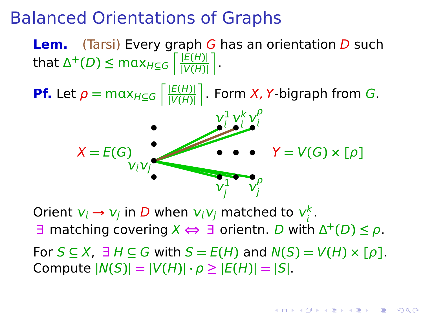**Lem.** (Tarsi) Every graph G has an orientation D such  $\frac{E(H)}{E(H)}$  **k** max $H \subseteq G$   $\frac{E(H)}{E(H)}$ **|**V**(**H**)|** m .

**Pf.** Let  $\rho = \max_{H \subseteq G} \left| \frac{|E(H)|}{|V(H)|} \right|$ **|**V**(**H**)|** m . Form X, Y-bigraph from G. ′<br>ν<sub>ί</sub>ν<sub>j</sub>●  $X = E(G)$  **• •**  $Y = V(G) \times [\rho]$  $\mathsf{v}$ 1 j  $\mathsf{v}$ ρ j  $\mathsf{v}$ 1  $\iota$  $\mathsf{v}$ k ļ  $\mathsf{v}$ ρ ļ **• • • • • • • • •**

Orient  $v_i \rightarrow v_j$  in D when  $v_i v_j$  matched to  $v_i^k$ .

 $\exists$  matching covering  $X \Leftrightarrow \exists$  orientn. D with  $\Delta^+(D) \leq \rho$ .

 $\text{For } S \subseteq X$ ,  $\exists H \subseteq G$  with  $S = E(H)$  and  $N(S) = V(H) \times [p]$ .  $\text{Compute } |N(S)| = |V(H)| \cdot \rho \geq |E(H)| = |S|.$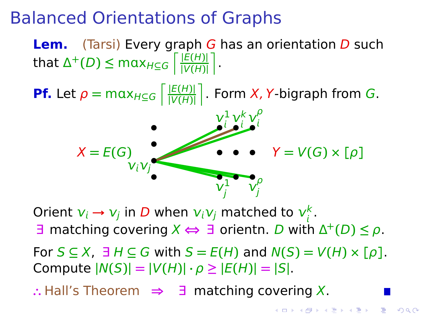**Lem.** (Tarsi) Every graph G has an orientation D such  $\frac{E(H)}{E(H)}$  **k** max $H \subseteq G$   $\frac{E(H)}{E(H)}$ **|**V**(**H**)|** m .

**Pf.** Let  $\rho = \max_{H \subseteq G} \left| \frac{|E(H)|}{|V(H)|} \right|$ **|**V**(**H**)|** m . Form X, Y-bigraph from G. ′<br>ν<sub>ί</sub>ν<sub>j</sub>●  $X = E(G)$  **• •**  $Y = V(G) \times [\rho]$  $\mathsf{v}$ 1 j  $\mathsf{v}$ ρ j  $\mathsf{v}$ 1  $\iota$  $\mathsf{v}$ k ļ  $\mathsf{v}$ ρ ļ **• • • • • • • • •**

Orient  $v_i \rightarrow v_j$  in D when  $v_i v_j$  matched to  $v_i^k$ к<br>i :

 $\exists$  matching covering  $X \Leftrightarrow \exists$  orientn. D with  $\Delta^+(D) \leq \rho$ .

 $\text{For } S \subseteq X$ ,  $\exists H \subseteq G$  with  $S = E(H)$  and  $N(S) = V(H) \times [p]$ .  $\text{Compute } |N(S)| = |V(H)| \cdot \rho \geq |E(H)| = |S|.$ 

**∴** Hall's Theorem **⇒** ∃ matching covering X.

**KORA ERREA CONTROL**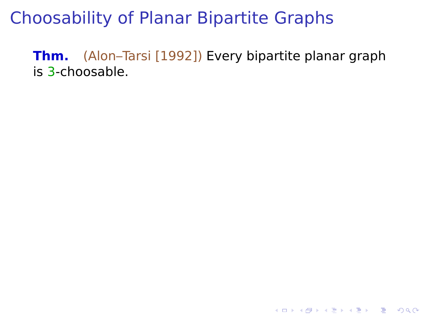**Thm.** (Alon–Tarsi [1992]) Every bipartite planar graph is 3-choosable.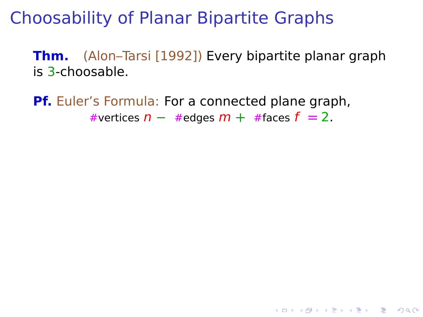**Thm.** (Alon–Tarsi [1992]) Every bipartite planar graph is 3-choosable.

**YO A REPART AND YOUR** 

**Pf.** Euler's Formula: For a connected plane graph, #vertices n **−** #edges m **+** #faces f **=** 2.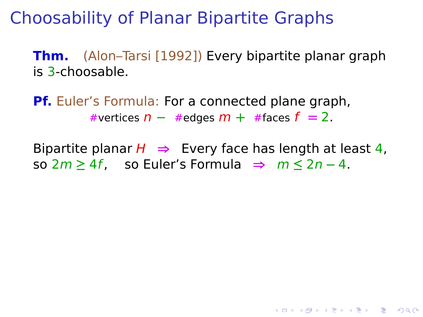**Thm.** (Alon–Tarsi [1992]) Every bipartite planar graph is 3-choosable.

**Pf.** Euler's Formula: For a connected plane graph, #vertices n **−** #edges m **+** #faces f **=** 2.

Bipartite planar  $H \Rightarrow$  Every face has length at least 4, so 2m **≥** 4f, so Euler's Formula **⇒** m **≤** 2n **−** 4.

**YO A REPART AND YOUR**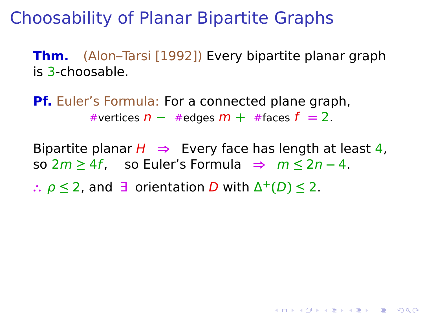**Thm.** (Alon–Tarsi [1992]) Every bipartite planar graph is 3-choosable.

**Pf.** Euler's Formula: For a connected plane graph, #vertices n **−** #edges m **+** #faces f **=** 2.

Bipartite planar  $H \Rightarrow$  Every face has length at least 4, so 2m **≥** 4f, so Euler's Formula **⇒** m **≤** 2n **−** 4.

**KORKA SERKER YOUR** 

**∴** ρ **≤** 2, and ∃ orientation D with Δ **<sup>+</sup>(**D**) ≤** 2.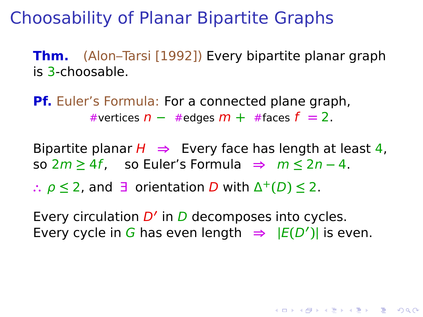**Thm.** (Alon–Tarsi [1992]) Every bipartite planar graph is 3-choosable.

**Pf.** Euler's Formula: For a connected plane graph, #vertices n **−** #edges m **+** #faces f **=** 2.

Bipartite planar  $H \Rightarrow$  Every face has length at least 4, so 2m **≥** 4f, so Euler's Formula **⇒** m **≤** 2n **−** 4.

**∴** ρ **≤** 2, and ∃ orientation D with Δ **<sup>+</sup>(**D**) ≤** 2.

Every circulation *D'* in *D* decomposes into cycles. Every cycle in G has even length  $\Rightarrow$   $|E(D')|$  is even.

**KORKA SERKER YOUR**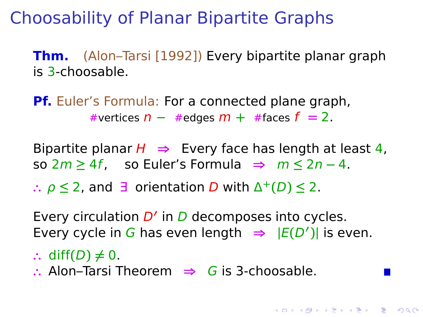**Thm.** (Alon–Tarsi [1992]) Every bipartite planar graph is 3-choosable.

**Pf.** Euler's Formula: For a connected plane graph, #vertices n **−** #edges m **+** #faces f **=** 2.

Bipartite planar  $H \Rightarrow$  Every face has length at least 4, so 2m **≥** 4f, so Euler's Formula **⇒** m **≤** 2n **−** 4.

**∴** ρ **≤** 2, and ∃ orientation D with Δ **<sup>+</sup>(**D**) ≤** 2.

Every circulation *D'* in *D* decomposes into cycles. Every cycle in G has even length  $\Rightarrow$   $|E(D')|$  is even.

**KORKA SERKER YOUR** 

- ∴ diff(D)  $\neq$  0.
- **∴** Alon–Tarsi Theorem **⇒** G is 3-choosable.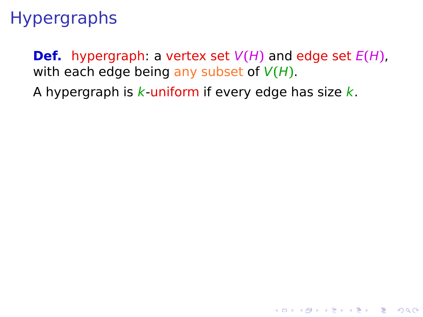## **Hypergraphs**

**Def.** hypergraph: a vertex set  $V(H)$  and edge set  $E(H)$ , with each edge being any subset of V**(**H**)**.

**KORK ERKERK ER KRENK** 

A hypergraph is  $k$ -uniform if every edge has size  $k$ .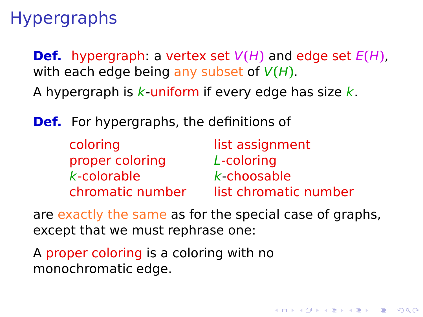**Hypergraphs** 

**Def.** hypergraph: a vertex set  $V(H)$  and edge set  $E(H)$ , with each edge being any subset of V**(**H**)**.

A hypergraph is  $k$ -uniform if every edge has size  $k$ .

**Def.** For hypergraphs, the definitions of

| coloring         | list assignment       |
|------------------|-----------------------|
| proper coloring  | L-coloring            |
| $k$ -colorable   | $k$ -choosable        |
| chromatic number | list chromatic number |

are exactly the same as for the special case of graphs, except that we must rephrase one:

**KORKA SERKER YOUR** 

A proper coloring is a coloring with no monochromatic edge.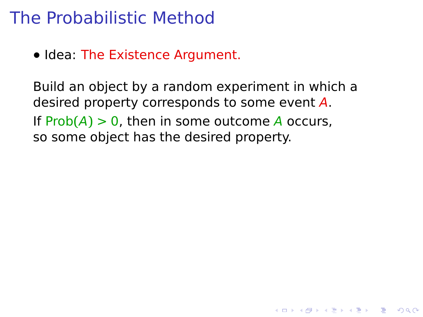#### The Probabilistic Method

**•** Idea: The Existence Argument.

Build an object by a random experiment in which a desired property corresponds to some event A. If  $Prob(A) > 0$ , then in some outcome A occurs, so some object has the desired property.

**YO A REPART AND YOUR**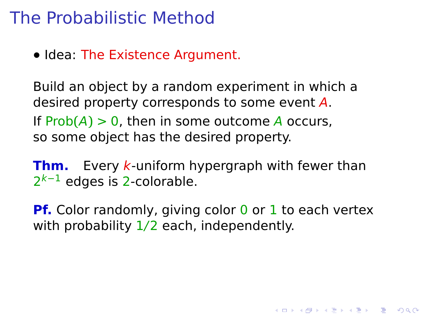## The Probabilistic Method

**•** Idea: The Existence Argument.

Build an object by a random experiment in which a desired property corresponds to some event A. If  $Prob(A) > 0$ , then in some outcome A occurs, so some object has the desired property.

**Thm.** Every k-uniform hypergraph with fewer than 2<sup>k−1</sup> edges is 2-colorable.

**Pf.** Color randomly, giving color 0 or 1 to each vertex with probability  $1/2$  each, independently.

**KORKA SERKER YOUR**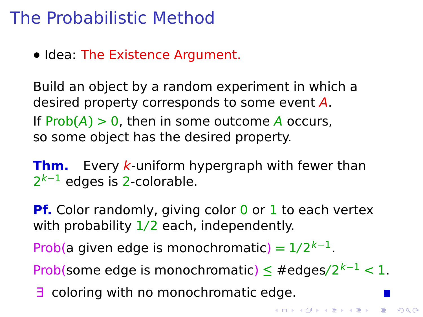## The Probabilistic Method

**•** Idea: The Existence Argument.

Build an object by a random experiment in which a desired property corresponds to some event A. If  $Prob(A) > 0$ , then in some outcome A occurs, so some object has the desired property.

**Thm.** Every k-uniform hypergraph with fewer than 2<sup>k−1</sup> edges is 2-colorable.

**Pf.** Color randomly, giving color 0 or 1 to each vertex with probability  $1/2$  each, independently.

Prob(a given edge is monochromatic) =  $1/2^{k-1}$ .

Prob(some edge is monochromatic) **≤** #edges/2 <sup>k</sup>**−**<sup>1</sup> < 1.

**K ロ ▶ K @ ▶ K 할 X K 할 X - 할 X - 9 Q Q ^** 

∃ coloring with no monochromatic edge.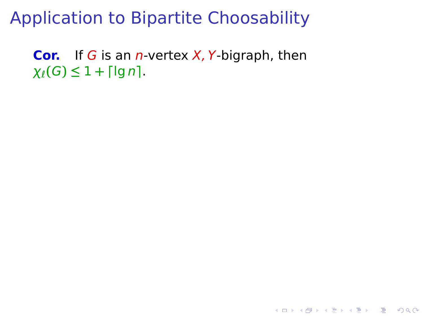**Cor.** If G is an n-vertex X, Y-bigraph, then  $\chi_{\ell}(G) \leq 1 + \lceil \lg n \rceil$ .

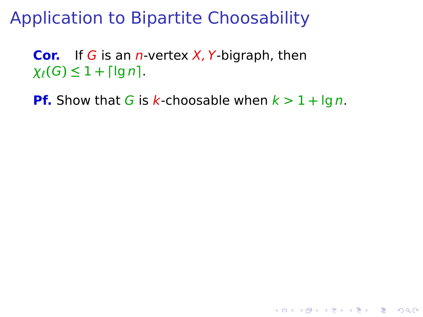**Cor.** If G is an n-vertex X, Y-bigraph, then  $\chi_{\ell}(G) \leq 1 + \lceil \lg n \rceil$ .

**Pf.** Show that G is k-choosable when  $k > 1 + \lg n$ .

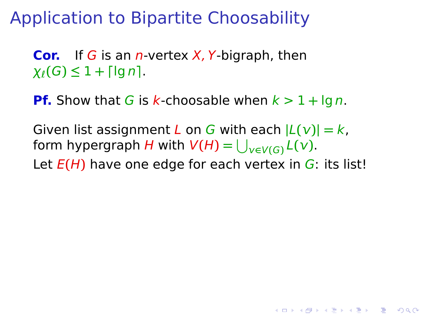**Cor.** If G is an n-vertex X, Y-bigraph, then  $\chi_{\ell}(G) \leq 1 + \lceil \lg n \rceil$ .

**Pf.** Show that G is k-choosable when  $k > 1 + \lg n$ .

Given list assignment L on G with each  $|L(v)| = k$ , form hypergraph  $H$  with  $V(H) = \bigcup_{\nu \in V(G)} L(\nu).$ 

Let E**(**H**)** have one edge for each vertex in G: its list!

KEL KØRKERKER E 1990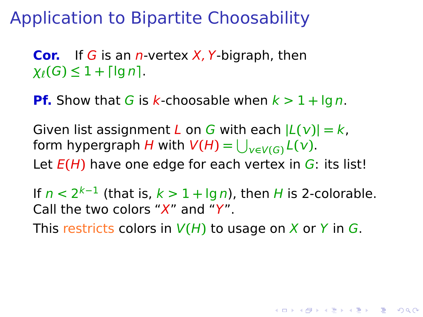**Cor.** If G is an n-vertex X, Y-bigraph, then  $\chi_{\ell}(G) \leq 1 + \lceil \lg n \rceil$ .

**Pf.** Show that G is k-choosable when  $k > 1 + \lg n$ .

Given list assignment L on G with each  $|L(v)| = k$ , form hypergraph  $H$  with  $V(H) = \bigcup_{\nu \in V(G)} L(\nu).$ Let E**(**H**)** have one edge for each vertex in G: its list!

If  $n < 2^{k-1}$  (that is,  $k > 1 + \lg n$ ), then H is 2-colorable. Call the two colors " $X$ " and " $Y$ ".

This restricts colors in  $V(H)$  to usage on X or Y in G.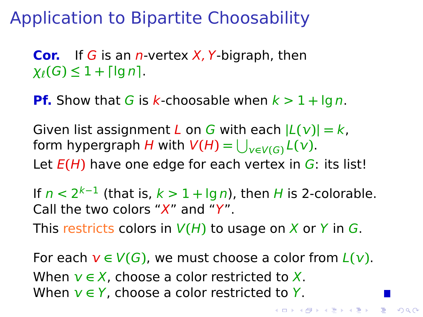**Cor.** If G is an n-vertex X, Y-bigraph, then  $\chi_{\ell}(G) \leq 1 + \lceil \lg n \rceil$ .

**Pf.** Show that G is k-choosable when  $k > 1 + \lg n$ .

Given list assignment L on G with each  $|L(v)| = k$ , form hypergraph  $H$  with  $V(H) = \bigcup_{\nu \in V(G)} L(\nu).$ Let E**(**H**)** have one edge for each vertex in G: its list!

If  $n < 2^{k-1}$  (that is,  $k > 1 + \lg n$ ), then H is 2-colorable. Call the two colors " $X$ " and " $Y$ ". This restricts colors in  $V(H)$  to usage on X or Y in G.

For each  $v \in V(G)$ , we must choose a color from  $L(v)$ . When  $v \in X$ , choose a color restricted to X. When **∈** Y, choose a color restricted to Y.

K ロ X K 레 X K 레 X X X X X X X X X X 제 레 게 이어 있습니다.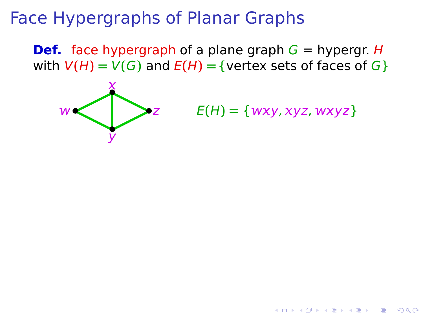**Def.** face hypergraph of a plane graph  $G =$  hypergr. H with  $V(H) = V(G)$  and  $E(H) = \{$  vertex sets of faces of  $G\}$ 

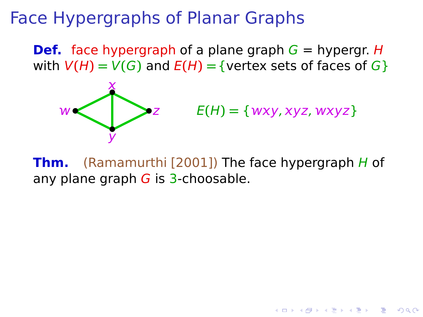**Def.** face hypergraph of a plane graph  $G =$  hypergr. H with  $V(H) = V(G)$  and  $E(H) = \{$  vertex sets of faces of  $G\}$ 



 $E(H) = \{wxy, xyz, wxyz\}$ 

**Thm.** (Ramamurthi [2001]) The face hypergraph H of any plane graph  $G$  is 3-choosable.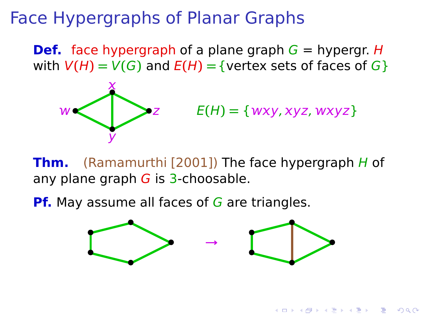**Def.** face hypergraph of a plane graph  $G =$  hypergr. H with  $V(H) = V(G)$  and  $E(H) = \{$  vertex sets of faces of  $G\}$ 



 $E(H) = \{wxy, xyz, wxyz\}$ 

 $\mathbf{1} \oplus \mathbf{1} \oplus \mathbf{1} \oplus \mathbf{1} \oplus \mathbf{1} \oplus \mathbf{1} \oplus \mathbf{1} \oplus \mathbf{1} \oplus \mathbf{1} \oplus \mathbf{1} \oplus \mathbf{1} \oplus \mathbf{1} \oplus \mathbf{1} \oplus \mathbf{1} \oplus \mathbf{1} \oplus \mathbf{1} \oplus \mathbf{1} \oplus \mathbf{1} \oplus \mathbf{1} \oplus \mathbf{1} \oplus \mathbf{1} \oplus \mathbf{1} \oplus \mathbf{1} \oplus \mathbf{1} \oplus \mathbf{$ 

 $2990$ 

**Thm.** (Ramamurthi [2001]) The face hypergraph H of any plane graph  $G$  is 3-choosable.

**Pf.** May assume all faces of G are triangles.

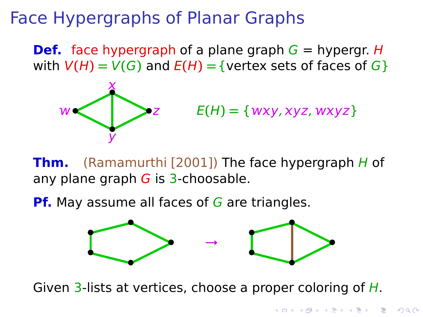**Def.** face hypergraph of a plane graph  $G =$  hypergr. H with  $V(H) = V(G)$  and  $E(H) = \{$  vertex sets of faces of  $G\}$ 



 $E(H) = \{wxy, xyz, wxyz\}$ 

**Thm.** (Ramamurthi [2001]) The face hypergraph H of any plane graph  $G$  is 3-choosable.

**Pf.** May assume all faces of G are triangles.



Given 3-lists at vertices, choose a proper coloring of  $H$ .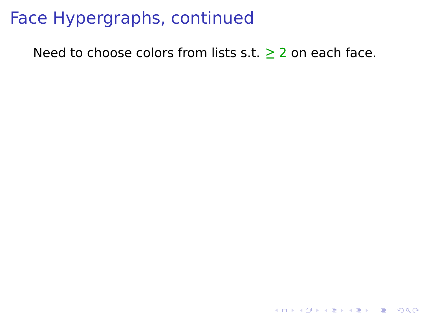Need to choose colors from lists s.t. **≥** 2 on each face.

K ロ ▶ K @ ▶ K 할 X X 할 X 및 할 X 9 Q Q ·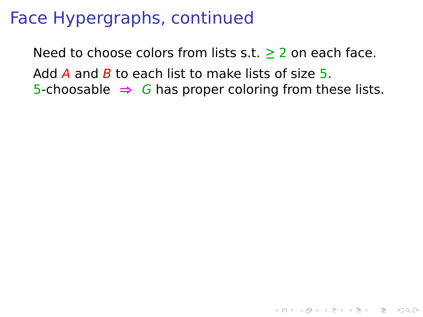Need to choose colors from lists s.t. **≥** 2 on each face. Add A and B to each list to make lists of size 5. 5-choosable **⇒** G has proper coloring from these lists.

**YO A REPART AND YOUR**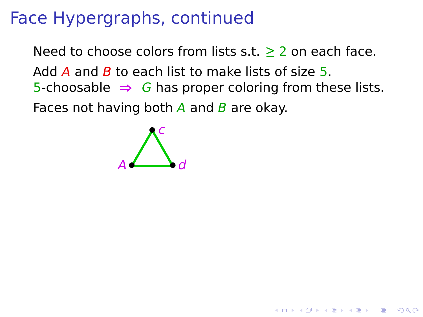Need to choose colors from lists s.t. **≥** 2 on each face. Add A and B to each list to make lists of size  $5$ . 5-choosable **⇒** G has proper coloring from these lists. Faces not having both  $\overline{A}$  and  $\overline{B}$  are okay.

**KORKA SERKER YOUR** 

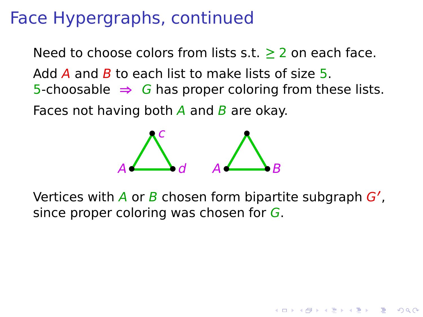Need to choose colors from lists s.t. **≥** 2 on each face. Add A and B to each list to make lists of size 5. 5-choosable **⇒** G has proper coloring from these lists.

Faces not having both  $\overline{A}$  and  $\overline{B}$  are okay.



Vertices with A or B chosen form bipartite subgraph G', since proper coloring was chosen for  $G$ .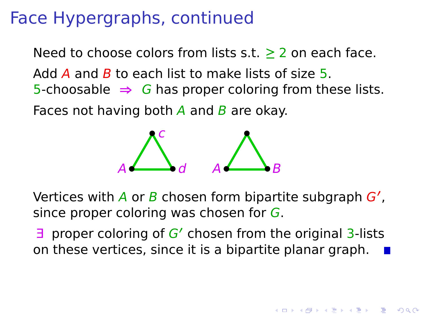Need to choose colors from lists s.t. **≥** 2 on each face. Add A and B to each list to make lists of size 5. 5-choosable **⇒** G has proper coloring from these lists.

Faces not having both  $\overline{A}$  and  $\overline{B}$  are okay.



Vertices with A or B chosen form bipartite subgraph G', since proper coloring was chosen for  $G$ .

∃ proper coloring of G**<sup>0</sup>** chosen from the original 3-lists on these vertices, since it is a bipartite planar graph.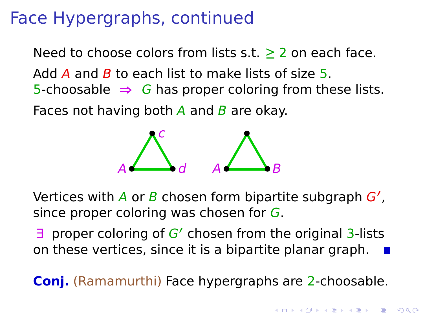Need to choose colors from lists s.t. **≥** 2 on each face. Add A and B to each list to make lists of size 5. 5-choosable **⇒** G has proper coloring from these lists.

Faces not having both  $\overline{A}$  and  $\overline{B}$  are okay.



Vertices with A or B chosen form bipartite subgraph G', since proper coloring was chosen for G.

∃ proper coloring of G**<sup>0</sup>** chosen from the original 3-lists on these vertices, since it is a bipartite planar graph.

**Conj.** (Ramamurthi) Face hypergraphs are 2-choosable.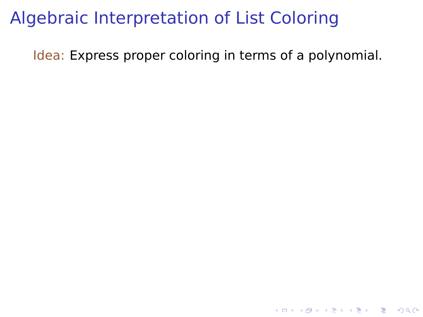## Algebraic Interpretation of List Coloring

Idea: Express proper coloring in terms of a polynomial.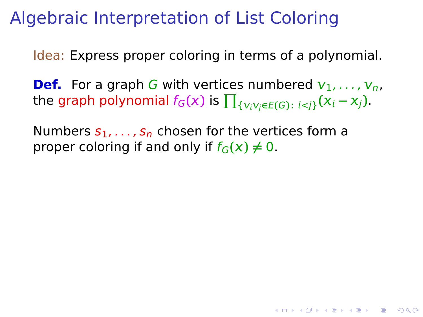Idea: Express proper coloring in terms of a polynomial.

**Def.** For a graph G with vertices numbered  $v_1, \ldots, v_n$ , the graph polynomial  $f_G(x)$  is  $\prod_{\{V_i V_j \in E(G): i < j\}} (X_i - X_j).$ 

**KORKA SERKER YOUR** 

Numbers  $s_1, \ldots, s_n$  chosen for the vertices form a proper coloring if and only if  $f_G(x) \neq 0$ .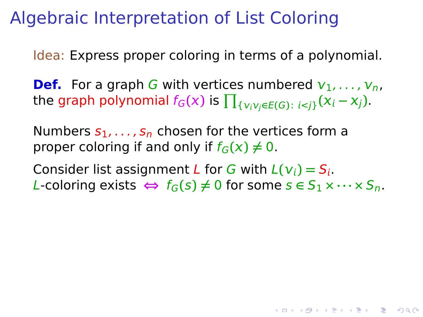Idea: Express proper coloring in terms of a polynomial.

**Def.** For a graph G with vertices numbered  $v_1, \ldots, v_n$ , the graph polynomial  $f_G(x)$  is  $\prod_{\{V_i V_j \in E(G): i < j\}} (X_i - X_j).$ 

Numbers  $s_1, \ldots, s_n$  chosen for the vertices form a proper coloring if and only if  $f_G(x) \neq 0$ .

Consider list assignment L for G with  $L(v_i) = S_i$ .  $L$ -coloring exists  $\Leftrightarrow$   $f_G(s) \neq 0$  for some  $s \in S_1 \times \cdots \times S_n$ .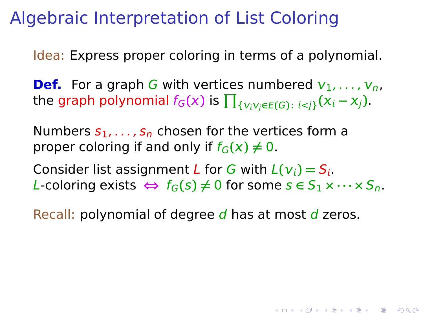Idea: Express proper coloring in terms of a polynomial.

**Def.** For a graph G with vertices numbered  $v_1, \ldots, v_n$ , the graph polynomial  $f_G(x)$  is  $\prod_{\{V_i V_j \in E(G): i < j\}} (X_i - X_j).$ 

Numbers  $s_1, \ldots, s_n$  chosen for the vertices form a proper coloring if and only if  $f_G(x) \neq 0$ .

Consider list assignment L for G with  $L(v_i) = S_i$ .  $L$ -coloring exists  $\Leftrightarrow$   $f_G(s) \neq 0$  for some  $s \in S_1 \times \cdots \times S_n$ .

Recall: polynomial of degree  $d$  has at most  $d$  zeros.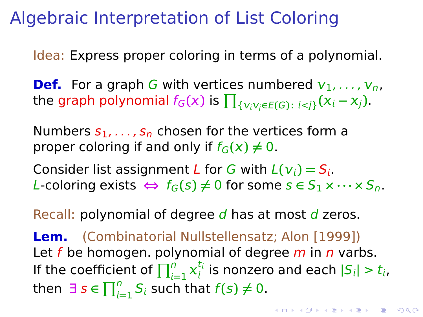Idea: Express proper coloring in terms of a polynomial.

**Def.** For a graph G with vertices numbered  $v_1, \ldots, v_n$ , the graph polynomial  $f_G(x)$  is  $\prod_{\{V_i V_j \in E(G): i < j\}} (X_i - X_j).$ 

Numbers  $s_1, \ldots, s_n$  chosen for the vertices form a proper coloring if and only if  $f_G(x) \neq 0$ .

Consider list assignment L for G with  $L(v_i) = S_i$ .  $L$ -coloring exists  $\Leftrightarrow$   $f_G(s) \neq 0$  for some  $s \in S_1 \times \cdots \times S_n$ .

Recall: polynomial of degree  $d$  has at most  $d$  zeros.

**Lem.** (Combinatorial Nullstellensatz; Alon [1999]) Let f be homogen. polynomial of degree  $m$  in  $n$  varbs. If the coefficient of  $\prod_{i=1}^n x_i^{t_i}$  $\frac{a_i}{b_i}$  is nonzero and each  $|S_i| > t_i$ , **then**  $\exists s \in \prod_{i=1}^{n} S_i$  such that  $f(s) \neq 0$ .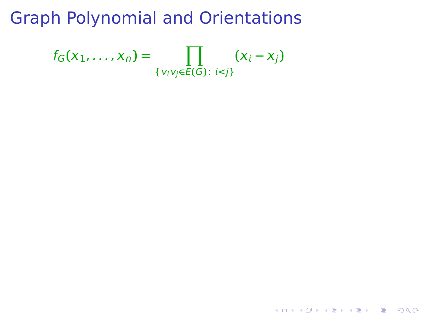$$
f_G(x_1,...,x_n) = \prod_{\{v_i v_j \in E(G): i < j\}} (x_i - x_j)
$$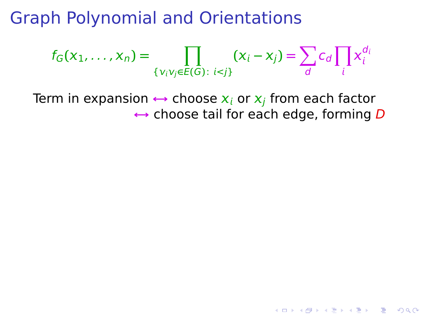$$
f_G(x_1,\ldots,x_n)=\prod_{\{v_iv_j\in E(G):\ i
$$

Term in expansion  $\leftrightarrow$  choose  $x_i$  or  $x_j$  from each factor **↔** choose tail for each edge, forming D

K ロ ▶ K @ ▶ K 할 ▶ K 할 ▶ - 할 → 9 Q @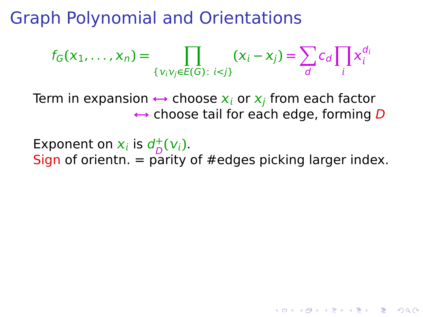$$
f_G(x_1,\ldots,x_n)=\prod_{\{v_iv_j\in E(G):\ i
$$

Term in expansion  $\leftrightarrow$  choose  $x_i$  or  $x_j$  from each factor **↔** choose tail for each edge, forming D

Exponent on  $x_i$  is  $d_D^+$  $_{D}^{+}(V_{i}).$ Sign of orientn.  $=$  parity of #edges picking larger index.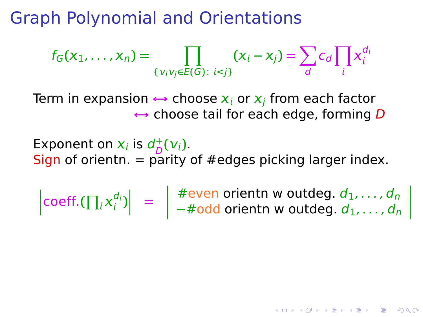$$
f_G(x_1,\ldots,x_n)=\prod_{\{v_iv_j\in E(G):\ i
$$

Term in expansion  $\leftrightarrow$  choose  $x_i$  or  $x_j$  from each factor **↔** choose tail for each edge, forming D

Exponent on  $x_i$  is  $d_D^+$  $_{D}^{+}(V_{i}).$ Sign of orientn.  $=$  parity of #edges picking larger index.

 $\left| \text{coeff.}(\prod_i x_i^{d_i}) \right|$  $\begin{vmatrix} d_i \\ i \end{vmatrix}$  = #even orientn w outdeg.  $d_1, \ldots, d_n$ −#odd orientn w outdeg. *d*<sub>1</sub>, . . . , *d*<sub>n</sub>

 

KID KA KERKER E DAG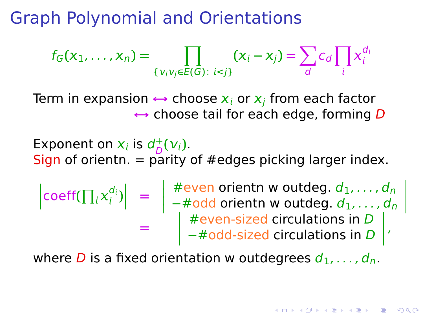$$
f_G(x_1,\ldots,x_n)=\prod_{\{v_iv_j\in E(G):\ i
$$

Term in expansion  $\leftrightarrow$  choose  $x_i$  or  $x_j$  from each factor **↔** choose tail for each edge, forming D

Exponent on  $x_i$  is  $d_D^+$  $_{D}^{+}(V_{i}).$ Sign of orientn.  $=$  parity of #edges picking larger index.

$$
\begin{array}{rcl}\n\left|\text{coeff}(\prod_i x_i^{d_i})\right| & = & \left|\begin{array}{c}\n\text{#even orientn w outdeg. } d_1, \dots, d_n \\
-\text{#odd orientn w outdeg. } d_1, \dots, d_n \\
\text{#even-sized circulations in } D \\
-\text{#odd-sized circulations in } D\n\end{array}\right|\n\end{array}
$$

where D is a fixed orientation w outdegrees  $d_1, \ldots, d_n$ .

I I I I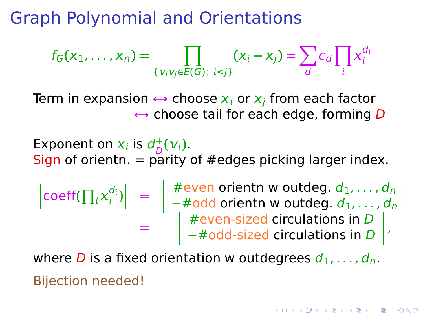$$
f_G(x_1,\ldots,x_n)=\prod_{\{v_iv_j\in E(G):\ i
$$

Term in expansion  $\leftrightarrow$  choose  $x_i$  or  $x_j$  from each factor **↔** choose tail for each edge, forming D

Exponent on  $x_i$  is  $d_D^+$  $_{D}^{+}(V_{i}).$ Sign of orientn.  $=$  parity of #edges picking larger index.

$$
\begin{array}{rcl}\n\left|\text{coeff}(\prod_i x_i^{d_i})\right| & = & \left|\begin{array}{c}\n\text{#even orientn w outdeg. } d_1, \ldots, d_n \\
-\text{#odd orientn w outdeg. } d_1, \ldots, d_n \\
\text{#even-sized circulations in } D \\
-\text{#odd-sized circulations in } D\n\end{array}\right|\n\end{array}
$$

where D is a fixed orientation w outdegrees  $d_1, \ldots, d_n$ . Bijection needed!

I I I I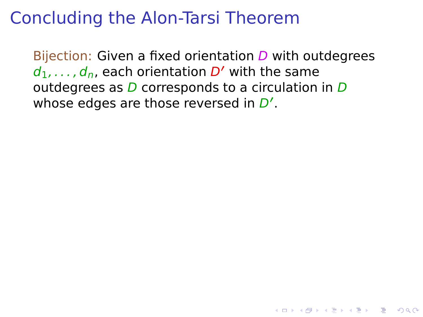#### Concluding the Alon-Tarsi Theorem

Bijection: Given a fixed orientation  $D$  with outdegrees  $d_1, \ldots, d_n$ , each orientation  $D'$  with the same outdegrees as  $D$  corresponds to a circulation in  $D$ whose edges are those reversed in D'.

**YO A REPART AND YOUR**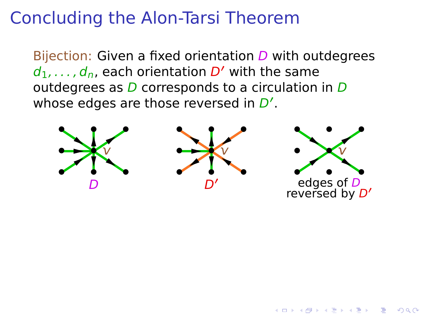#### Concluding the Alon-Tarsi Theorem

Bijection: Given a fixed orientation  $D$  with outdegrees  $d_1, \ldots, d_n$ , each orientation  $D'$  with the same outdegrees as  $D$  corresponds to a circulation in  $D$ whose edges are those reversed in D'.



**KORA ERREY ADAMS**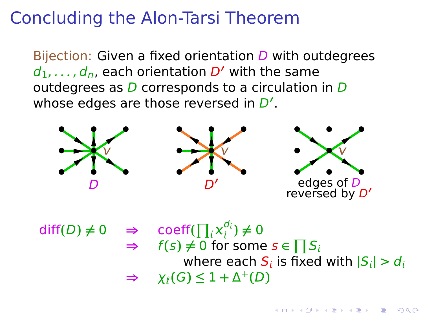### Concluding the Alon-Tarsi Theorem

Bijection: Given a fixed orientation  $D$  with outdegrees  $d_1, \ldots, d_n$ , each orientation  $D'$  with the same outdegrees as  $D$  corresponds to a circulation in  $D$ whose edges are those reversed in D'.



 $diff(D) \neq 0 \Rightarrow$  coeff( $\prod_i x_i^{d_i}$  $\binom{u_i}{i} \neq 0$  $\Rightarrow$   $f(s) \neq 0$  for some  $s \in \prod S_i$ where each  $S_i$  is fixed with  $|S_i| > d_i$  $\Rightarrow \chi_{\ell}(G) \leq 1 + \Delta^{+}(D)$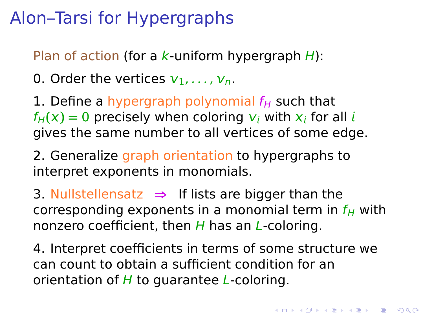# Alon–Tarsi for Hypergraphs

Plan of action (for a  $k$ -uniform hypergraph  $H$ ):

0. Order the vertices  $v_1, \ldots, v_n$ .

1. Define a hypergraph polynomial  $f_H$  such that  $f_H(x) = 0$  precisely when coloring  $v_i$  with  $x_i$  for all i gives the same number to all vertices of some edge.

2. Generalize graph orientation to hypergraphs to interpret exponents in monomials.

3. Nullstellensatz **⇒** If lists are bigger than the corresponding exponents in a monomial term in  $f_H$  with nonzero coefficient, then  $H$  has an L-coloring.

4. Interpret coefficients in terms of some structure we can count to obtain a sufficient condition for an orientation of  $H$  to quarantee  $L$ -coloring.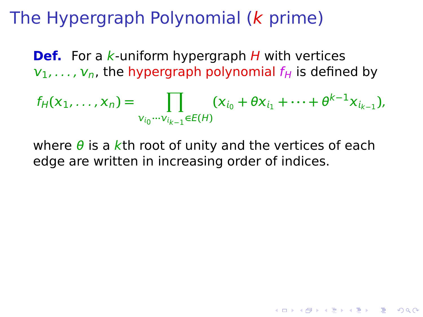# The Hypergraph Polynomial (k prime)

**Def.** For a k-uniform hypergraph H with vertices  $v_1, \ldots, v_n$ , the hypergraph polynomial  $f_H$  is defined by

$$
f_H(x_1,\ldots,x_n)=\prod_{v_{i_0}\cdots v_{i_{k-1}}\in E(H)}(x_{i_0}+\theta x_{i_1}+\cdots+\theta^{k-1}x_{i_{k-1}}),
$$

where  $\theta$  is a kth root of unity and the vertices of each edge are written in increasing order of indices.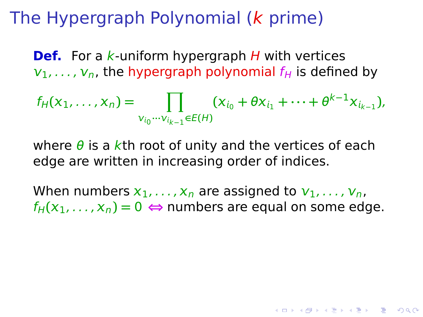# The Hypergraph Polynomial (k prime)

**Def.** For a k-uniform hypergraph H with vertices  $v_1, \ldots, v_n$ , the hypergraph polynomial  $f_H$  is defined by

$$
f_H(x_1,\ldots,x_n)=\prod_{v_{i_0}\cdots v_{i_{k-1}}\in E(H)}(x_{i_0}+\theta x_{i_1}+\cdots+\theta^{k-1}x_{i_{k-1}}),
$$

where  $\theta$  is a kth root of unity and the vertices of each edge are written in increasing order of indices.

When numbers  $x_1, \ldots, x_n$  are assigned to  $v_1, \ldots, v_n$ ,  $f_H(x_1, \ldots, x_n) = 0 \Leftrightarrow$  numbers are equal on some edge.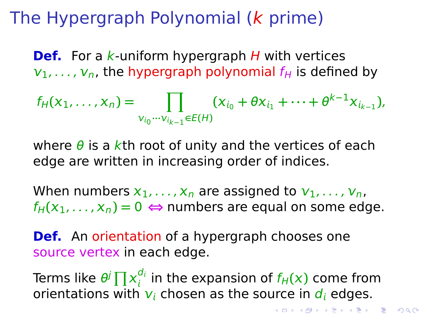# The Hypergraph Polynomial (k prime)

**Def.** For a k-uniform hypergraph H with vertices  $v_1, \ldots, v_n$ , the hypergraph polynomial  $f_H$  is defined by

$$
f_H(x_1,\ldots,x_n)=\prod_{v_{i_0}\cdots v_{i_{k-1}}\in E(H)}(x_{i_0}+\theta x_{i_1}+\cdots+\theta^{k-1}x_{i_{k-1}}),
$$

where  $\theta$  is a kth root of unity and the vertices of each edge are written in increasing order of indices.

When numbers  $x_1, \ldots, x_n$  are assigned to  $v_1, \ldots, v_n$ ,  $f_H(x_1, \ldots, x_n) = 0 \Leftrightarrow$  numbers are equal on some edge.

**Def.** An orientation of a hypergraph chooses one source vertex in each edge.

Terms like  $\theta^j \prod x_i^{d_i}$  $\frac{a_i}{b_i}$  in the expansion of  $f_H(x)$  come from orientations with  $v_i$  chosen as the source in  $d_i$  edges.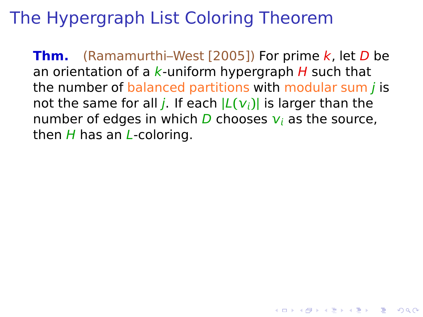# The Hypergraph List Coloring Theorem

**Thm.** (Ramamurthi–West [2005]) For prime k, let D be an orientation of a  $k$ -uniform hypergraph  $H$  such that the number of balanced partitions with modular sum  *is* not the same for all *j*. If each  $|L(v_i)|$  is larger than the number of edges in which  $D$  chooses  $v_i$  as the source, then  $H$  has an  $L$ -coloring.